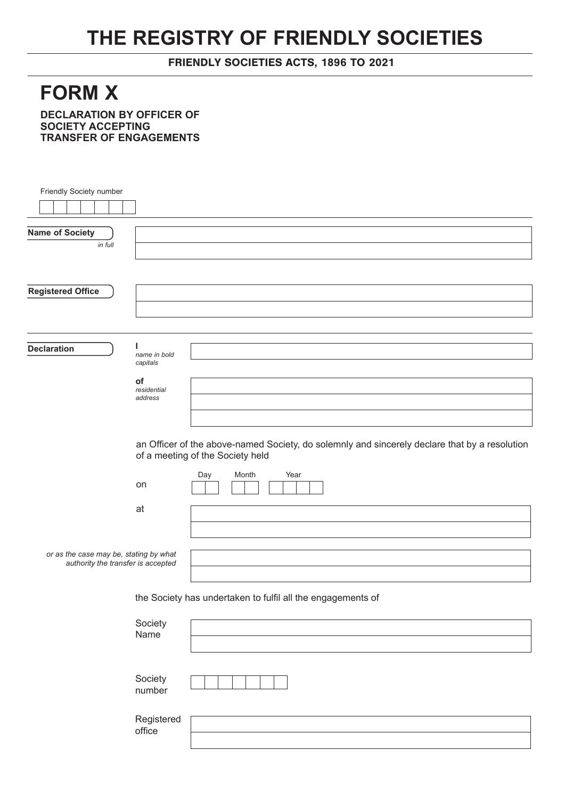## **THE REGISTRY OF FRIENDLY SOCIETIES**

FRIENDLY SOCIETIES ACTS, 1896 TO 2021

## **FORM X**

**DECLARATION BY OFFICER OF SOCIETY ACCEPTING TRANSFER OF ENGAGEMENTS**

| Friendly Society number                |                                                                                                                                   |
|----------------------------------------|-----------------------------------------------------------------------------------------------------------------------------------|
|                                        |                                                                                                                                   |
|                                        |                                                                                                                                   |
| <b>Name of Society</b>                 |                                                                                                                                   |
| in full                                |                                                                                                                                   |
|                                        |                                                                                                                                   |
|                                        |                                                                                                                                   |
| <b>Registered Office</b>               |                                                                                                                                   |
|                                        |                                                                                                                                   |
|                                        |                                                                                                                                   |
|                                        |                                                                                                                                   |
| J.                                     |                                                                                                                                   |
| <b>Declaration</b><br>name in bold     |                                                                                                                                   |
| capitals                               |                                                                                                                                   |
| of                                     |                                                                                                                                   |
| residential<br>address                 |                                                                                                                                   |
|                                        |                                                                                                                                   |
|                                        |                                                                                                                                   |
|                                        |                                                                                                                                   |
|                                        | an Officer of the above-named Society, do solemnly and sincerely declare that by a resolution<br>of a meeting of the Society held |
|                                        |                                                                                                                                   |
| on                                     | Month<br>Year<br>Day                                                                                                              |
|                                        |                                                                                                                                   |
| at                                     |                                                                                                                                   |
|                                        |                                                                                                                                   |
|                                        |                                                                                                                                   |
| or as the case may be, stating by what |                                                                                                                                   |
| authority the transfer is accepted     |                                                                                                                                   |
|                                        |                                                                                                                                   |
|                                        | the Society has undertaken to fulfil all the engagements of                                                                       |
|                                        |                                                                                                                                   |
| Society                                |                                                                                                                                   |
| Name                                   |                                                                                                                                   |
|                                        |                                                                                                                                   |
|                                        |                                                                                                                                   |
| Society                                |                                                                                                                                   |
| number                                 |                                                                                                                                   |
|                                        |                                                                                                                                   |
| Registered                             |                                                                                                                                   |
| office                                 |                                                                                                                                   |